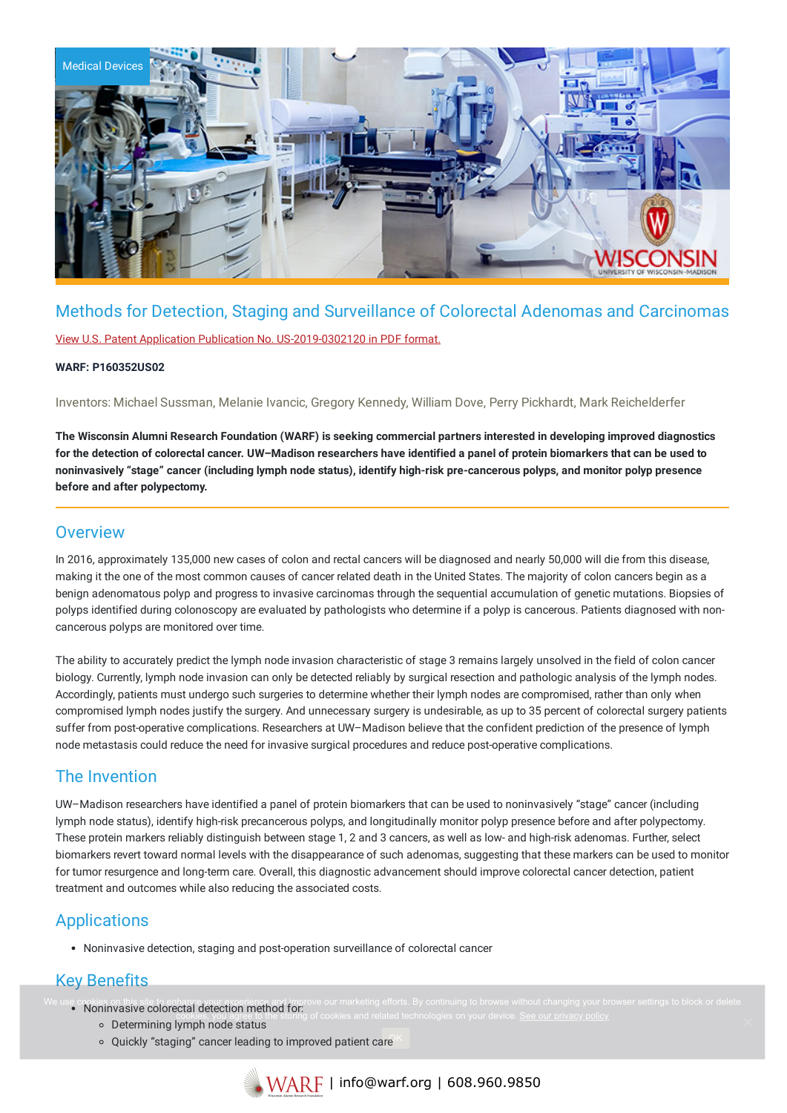

# Methods for Detection, Staging and Surveillance of Colorectal Adenomas and Carcinomas

View U.S. Patent Application Publication No. [US-2019-0302120](https://www.warf.org/wp-content/uploads/technologies/pubapps/P160352US02-Published-Application.pdf) in PDF format.

### **WARF: P160352US02**

Inventors: Michael Sussman, Melanie Ivancic, Gregory Kennedy, William Dove, Perry Pickhardt, Mark Reichelderfer

The Wisconsin Alumni Research Foundation (WARF) is seeking commercial partners interested in developing improved diagnostics for the detection of colorectal cancer. UW-Madison researchers have identified a panel of protein biomarkers that can be used to noninvasively "stage" cancer (including lymph node status), identify high-risk pre-cancerous polyps, and monitor polyp presence **before and after polypectomy.**

### **Overview**

In 2016, approximately 135,000 new cases of colon and rectal cancers will be diagnosed and nearly 50,000 will die from this disease, making it the one of the most common causes of cancer related death in the United States. The majority of colon cancers begin as a benign adenomatous polyp and progress to invasive carcinomas through the sequential accumulation of genetic mutations. Biopsies of polyps identified during colonoscopy are evaluated by pathologists who determine if a polyp is cancerous. Patients diagnosed with noncancerous polyps are monitored over time.

The ability to accurately predict the lymph node invasion characteristic of stage 3 remains largely unsolved in the field of colon cancer biology. Currently, lymph node invasion can only be detected reliably by surgical resection and pathologic analysis of the lymph nodes. Accordingly, patients must undergo such surgeries to determine whether their lymph nodes are compromised, rather than only when compromised lymph nodes justify the surgery. And unnecessary surgery is undesirable, as up to 35 percent of colorectal surgery patients suffer from post-operative complications. Researchers at UW–Madison believe that the confident prediction of the presence of lymph node metastasis could reduce the need for invasive surgical procedures and reduce post-operative complications.

## The Invention

UW–Madison researchers have identified a panel of protein biomarkers that can be used to noninvasively "stage" cancer (including lymph node status), identify high-risk precancerous polyps, and longitudinally monitor polyp presence before and after polypectomy. These protein markers reliably distinguish between stage 1, 2 and 3 cancers, as well as low- and high-risk adenomas. Further, select biomarkers revert toward normal levels with the disappearance of such adenomas, suggesting that these markers can be used to monitor for tumor resurgence and long-term care. Overall, this diagnostic advancement should improve colorectal cancer detection, patient treatment and outcomes while also reducing the associated costs.

# Applications

Noninvasive detection, staging and post-operation surveillance of colorectal cancer

# Key Benefits

- Noninvasive colorectal detection method for:
	- Determining lymph node status cookies, you agree to the storing of cookies and related technologies on your device. <u>See our privacy policy</u>
	- Quickly "staging" cancer leading to improved patient care